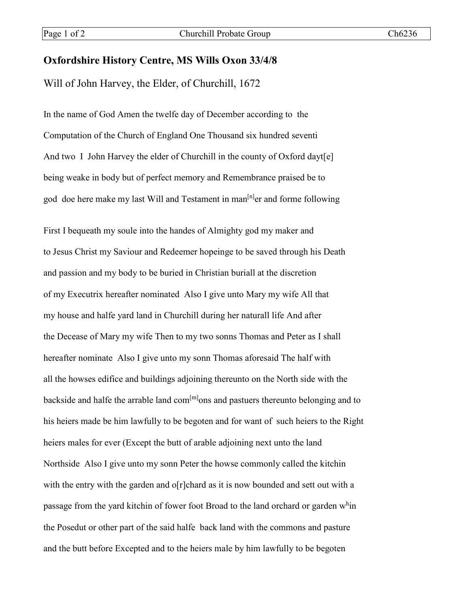## **Oxfordshire History Centre, MS Wills Oxon 33/4/8**

Will of John Harvey, the Elder, of Churchill, 1672

In the name of God Amen the twelfe day of December according to the Computation of the Church of England One Thousand six hundred seventi And two I John Harvey the elder of Churchill in the county of Oxford dayt[e] being weake in body but of perfect memory and Remembrance praised be to god doe here make my last Will and Testament in man<sup>[n]</sup>er and forme following

First I bequeath my soule into the handes of Almighty god my maker and to Jesus Christ my Saviour and Redeemer hopeinge to be saved through his Death and passion and my body to be buried in Christian buriall at the discretion of my Executrix hereafter nominated Also I give unto Mary my wife All that my house and halfe yard land in Churchill during her naturall life And after the Decease of Mary my wife Then to my two sonns Thomas and Peter as I shall hereafter nominate Also I give unto my sonn Thomas aforesaid The half with all the howses edifice and buildings adjoining thereunto on the North side with the backside and halfe the arrable land com $\text{[m]}$ ons and pastuers thereunto belonging and to his heiers made be him lawfully to be begoten and for want of such heiers to the Right heiers males for ever (Except the butt of arable adjoining next unto the land Northside Also I give unto my sonn Peter the howse commonly called the kitchin with the entry with the garden and o[r]chard as it is now bounded and sett out with a passage from the yard kitchin of fower foot Broad to the land orchard or garden w<sup>h</sup>in the Posedut or other part of the said halfe back land with the commons and pasture and the butt before Excepted and to the heiers male by him lawfully to be begoten